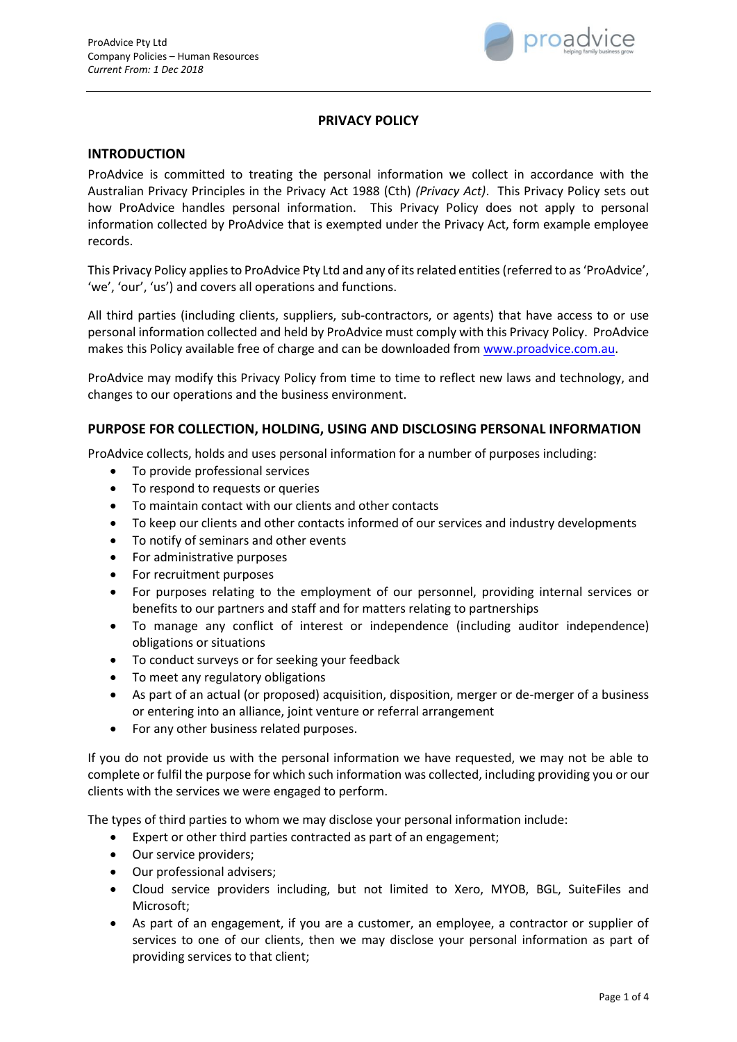

# **PRIVACY POLICY**

#### **INTRODUCTION**

ProAdvice is committed to treating the personal information we collect in accordance with the Australian Privacy Principles in the Privacy Act 1988 (Cth) *(Privacy Act)*. This Privacy Policy sets out how ProAdvice handles personal information. This Privacy Policy does not apply to personal information collected by ProAdvice that is exempted under the Privacy Act, form example employee records.

This Privacy Policy applies to ProAdvice Pty Ltd and any of its related entities(referred to as 'ProAdvice', 'we', 'our', 'us') and covers all operations and functions.

All third parties (including clients, suppliers, sub-contractors, or agents) that have access to or use personal information collected and held by ProAdvice must comply with this Privacy Policy. ProAdvice makes this Policy available free of charge and can be downloaded fro[m www.proadvice.com.au.](http://www.proadvice.com.au/)

ProAdvice may modify this Privacy Policy from time to time to reflect new laws and technology, and changes to our operations and the business environment.

#### **PURPOSE FOR COLLECTION, HOLDING, USING AND DISCLOSING PERSONAL INFORMATION**

ProAdvice collects, holds and uses personal information for a number of purposes including:

- To provide professional services
- To respond to requests or queries
- To maintain contact with our clients and other contacts
- To keep our clients and other contacts informed of our services and industry developments
- To notify of seminars and other events
- For administrative purposes
- For recruitment purposes
- For purposes relating to the employment of our personnel, providing internal services or benefits to our partners and staff and for matters relating to partnerships
- To manage any conflict of interest or independence (including auditor independence) obligations or situations
- To conduct surveys or for seeking your feedback
- To meet any regulatory obligations
- As part of an actual (or proposed) acquisition, disposition, merger or de-merger of a business or entering into an alliance, joint venture or referral arrangement
- For any other business related purposes.

If you do not provide us with the personal information we have requested, we may not be able to complete or fulfil the purpose for which such information was collected, including providing you or our clients with the services we were engaged to perform.

The types of third parties to whom we may disclose your personal information include:

- Expert or other third parties contracted as part of an engagement;
- Our service providers;
- Our professional advisers;
- Cloud service providers including, but not limited to Xero, MYOB, BGL, SuiteFiles and Microsoft;
- As part of an engagement, if you are a customer, an employee, a contractor or supplier of services to one of our clients, then we may disclose your personal information as part of providing services to that client;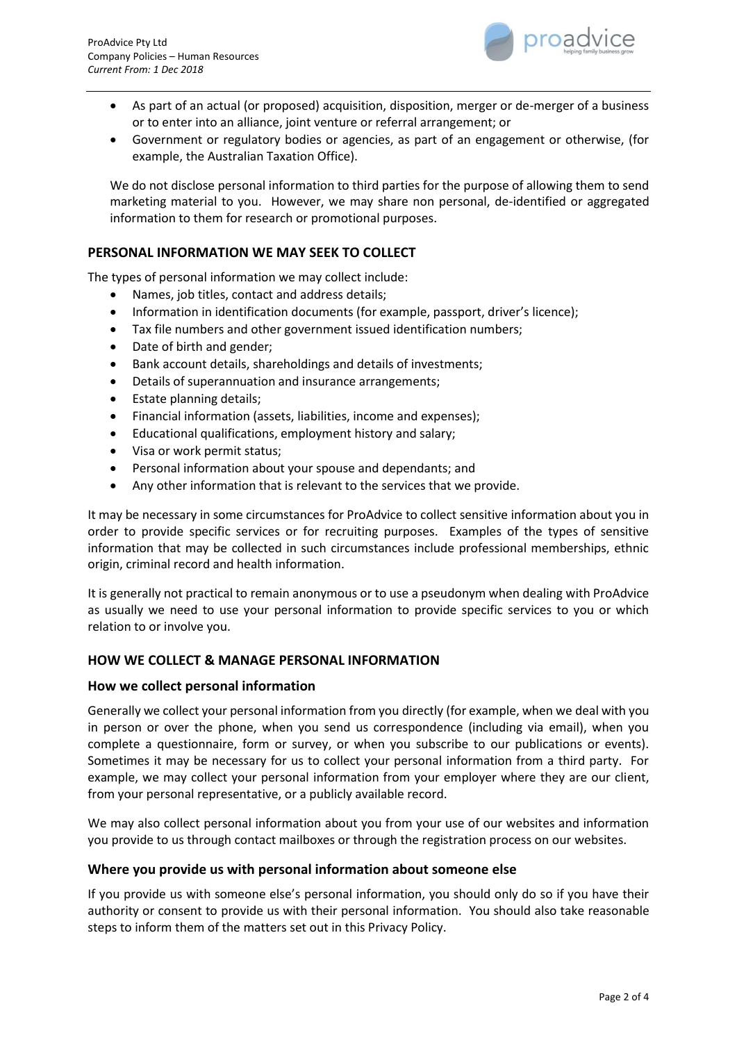

- As part of an actual (or proposed) acquisition, disposition, merger or de-merger of a business or to enter into an alliance, joint venture or referral arrangement; or
- Government or regulatory bodies or agencies, as part of an engagement or otherwise, (for example, the Australian Taxation Office).

We do not disclose personal information to third parties for the purpose of allowing them to send marketing material to you. However, we may share non personal, de-identified or aggregated information to them for research or promotional purposes.

### **PERSONAL INFORMATION WE MAY SEEK TO COLLECT**

The types of personal information we may collect include:

- Names, job titles, contact and address details;
- Information in identification documents (for example, passport, driver's licence);
- Tax file numbers and other government issued identification numbers;
- Date of birth and gender;
- Bank account details, shareholdings and details of investments;
- Details of superannuation and insurance arrangements;
- Estate planning details;
- Financial information (assets, liabilities, income and expenses);
- Educational qualifications, employment history and salary;
- Visa or work permit status;
- Personal information about your spouse and dependants; and
- Any other information that is relevant to the services that we provide.

It may be necessary in some circumstances for ProAdvice to collect sensitive information about you in order to provide specific services or for recruiting purposes. Examples of the types of sensitive information that may be collected in such circumstances include professional memberships, ethnic origin, criminal record and health information.

It is generally not practical to remain anonymous or to use a pseudonym when dealing with ProAdvice as usually we need to use your personal information to provide specific services to you or which relation to or involve you.

### **HOW WE COLLECT & MANAGE PERSONAL INFORMATION**

### **How we collect personal information**

Generally we collect your personal information from you directly (for example, when we deal with you in person or over the phone, when you send us correspondence (including via email), when you complete a questionnaire, form or survey, or when you subscribe to our publications or events). Sometimes it may be necessary for us to collect your personal information from a third party. For example, we may collect your personal information from your employer where they are our client, from your personal representative, or a publicly available record.

We may also collect personal information about you from your use of our websites and information you provide to us through contact mailboxes or through the registration process on our websites.

### **Where you provide us with personal information about someone else**

If you provide us with someone else's personal information, you should only do so if you have their authority or consent to provide us with their personal information. You should also take reasonable steps to inform them of the matters set out in this Privacy Policy.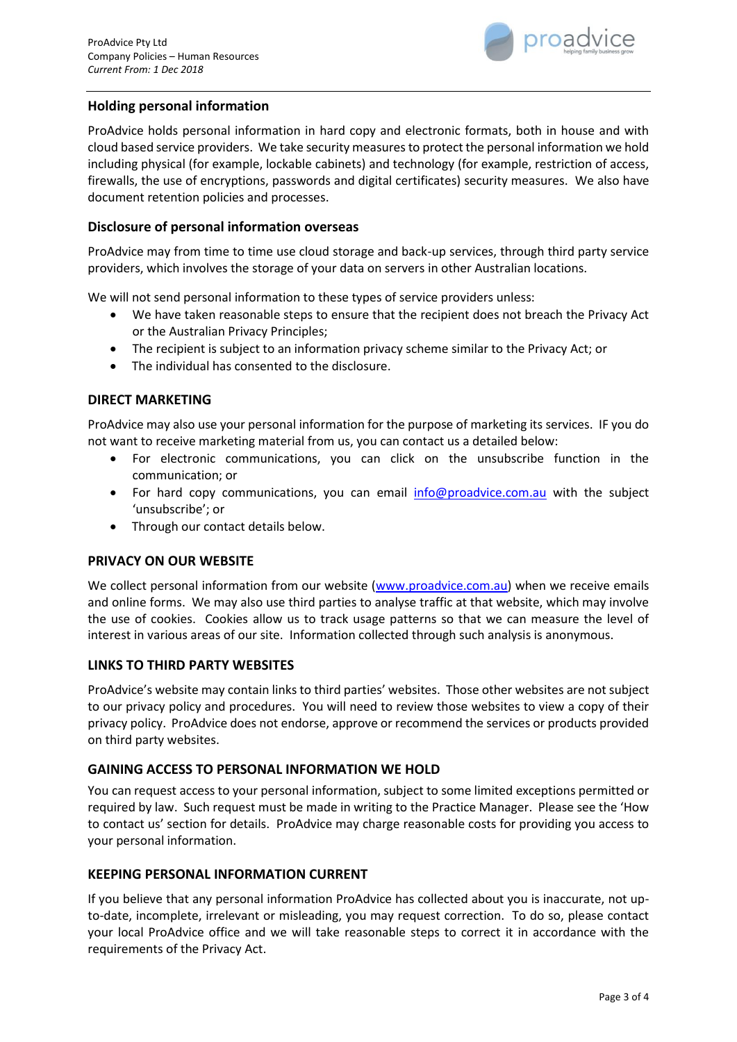

## **Holding personal information**

ProAdvice holds personal information in hard copy and electronic formats, both in house and with cloud based service providers. We take security measures to protect the personal information we hold including physical (for example, lockable cabinets) and technology (for example, restriction of access, firewalls, the use of encryptions, passwords and digital certificates) security measures. We also have document retention policies and processes.

### **Disclosure of personal information overseas**

ProAdvice may from time to time use cloud storage and back-up services, through third party service providers, which involves the storage of your data on servers in other Australian locations.

We will not send personal information to these types of service providers unless:

- We have taken reasonable steps to ensure that the recipient does not breach the Privacy Act or the Australian Privacy Principles;
- The recipient is subject to an information privacy scheme similar to the Privacy Act; or
- The individual has consented to the disclosure.

### **DIRECT MARKETING**

ProAdvice may also use your personal information for the purpose of marketing its services. IF you do not want to receive marketing material from us, you can contact us a detailed below:

- For electronic communications, you can click on the unsubscribe function in the communication; or
- For hard copy communications, you can email [info@proadvice.com.au](mailto:info@proadvice.com.au) with the subject 'unsubscribe'; or
- Through our contact details below.

### **PRIVACY ON OUR WEBSITE**

We collect personal information from our website [\(www.proadvice.com.au\)](http://www.proadvice.com.au/) when we receive emails and online forms. We may also use third parties to analyse traffic at that website, which may involve the use of cookies. Cookies allow us to track usage patterns so that we can measure the level of interest in various areas of our site. Information collected through such analysis is anonymous.

### **LINKS TO THIRD PARTY WEBSITES**

ProAdvice's website may contain links to third parties' websites. Those other websites are not subject to our privacy policy and procedures. You will need to review those websites to view a copy of their privacy policy. ProAdvice does not endorse, approve or recommend the services or products provided on third party websites.

### **GAINING ACCESS TO PERSONAL INFORMATION WE HOLD**

You can request access to your personal information, subject to some limited exceptions permitted or required by law. Such request must be made in writing to the Practice Manager. Please see the 'How to contact us' section for details. ProAdvice may charge reasonable costs for providing you access to your personal information.

### **KEEPING PERSONAL INFORMATION CURRENT**

If you believe that any personal information ProAdvice has collected about you is inaccurate, not upto-date, incomplete, irrelevant or misleading, you may request correction. To do so, please contact your local ProAdvice office and we will take reasonable steps to correct it in accordance with the requirements of the Privacy Act.